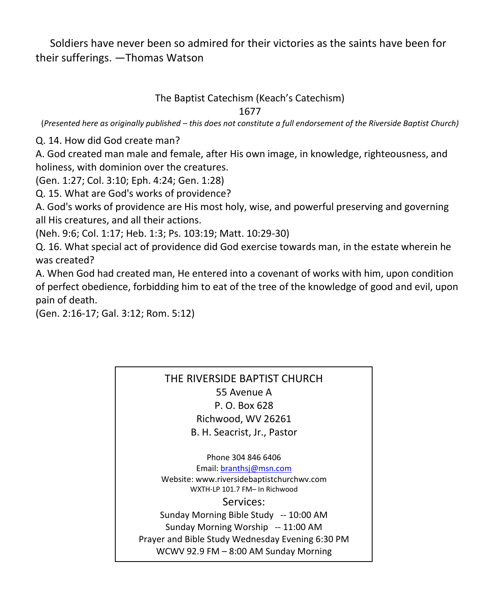Soldiers have never been so admired for their victories as the saints have been for their sufferings. —Thomas Watson

## The Baptist Catechism (Keach's Catechism)

1677

(*Presented here as originally published – this does not constitute a full endorsement of the Riverside Baptist Church)*

Q. 14. How did God create man?

A. God created man male and female, after His own image, in knowledge, righteousness, and holiness, with dominion over the creatures.

(Gen. 1:27; Col. 3:10; Eph. 4:24; Gen. 1:28)

Q. 15. What are God's works of providence?

A. God's works of providence are His most holy, wise, and powerful preserving and governing all His creatures, and all their actions.

(Neh. 9:6; Col. 1:17; Heb. 1:3; Ps. 103:19; Matt. 10:29-30)

Q. 16. What special act of providence did God exercise towards man, in the estate wherein he was created?

A. When God had created man, He entered into a covenant of works with him, upon condition of perfect obedience, forbidding him to eat of the tree of the knowledge of good and evil, upon pain of death.

(Gen. 2:16-17; Gal. 3:12; Rom. 5:12)

## THE RIVERSIDE BAPTIST CHURCH 55 Avenue A P. O. Box 628 Richwood, WV 26261 B. H. Seacrist, Jr., Pastor

Phone 304 846 6406 Email[: branthsj@msn.com](mailto:branthsj@msn.com) Website: www.riversidebaptistchurchwv.com WXTH-LP 101.7 FM– In Richwood Services: Sunday Morning Bible Study -- 10:00 AM Sunday Morning Worship -- 11:00 AM Prayer and Bible Study Wednesday Evening 6:30 PM WCWV 92.9 FM – 8:00 AM Sunday Morning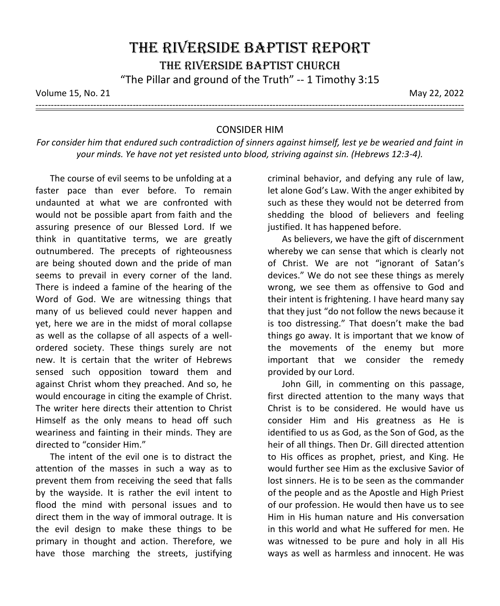Volume 15, No. 21 May 22, 2022

---------------------------------------------------------------------------------------------------------------------------------------------

## CONSIDER HIM

*For consider him that endured such contradiction of sinners against himself, lest ye be wearied and faint in your minds. Ye have not yet resisted unto blood, striving against sin. (Hebrews 12:3-4).*

The course of evil seems to be unfolding at a faster pace than ever before. To remain undaunted at what we are confronted with would not be possible apart from faith and the assuring presence of our Blessed Lord. If we think in quantitative terms, we are greatly outnumbered. The precepts of righteousness are being shouted down and the pride of man seems to prevail in every corner of the land. There is indeed a famine of the hearing of the Word of God. We are witnessing things that many of us believed could never happen and yet, here we are in the midst of moral collapse as well as the collapse of all aspects of a wellordered society. These things surely are not new. It is certain that the writer of Hebrews sensed such opposition toward them and against Christ whom they preached. And so, he would encourage in citing the example of Christ. The writer here directs their attention to Christ Himself as the only means to head off such weariness and fainting in their minds. They are directed to "consider Him."

The intent of the evil one is to distract the attention of the masses in such a way as to prevent them from receiving the seed that falls by the wayside. It is rather the evil intent to flood the mind with personal issues and to direct them in the way of immoral outrage. It is the evil design to make these things to be primary in thought and action. Therefore, we have those marching the streets, justifying criminal behavior, and defying any rule of law, let alone God's Law. With the anger exhibited by such as these they would not be deterred from shedding the blood of believers and feeling justified. It has happened before.

As believers, we have the gift of discernment whereby we can sense that which is clearly not of Christ. We are not "ignorant of Satan's devices." We do not see these things as merely wrong, we see them as offensive to God and their intent is frightening. I have heard many say that they just "do not follow the news because it is too distressing." That doesn't make the bad things go away. It is important that we know of the movements of the enemy but more important that we consider the remedy provided by our Lord.

John Gill, in commenting on this passage, first directed attention to the many ways that Christ is to be considered. He would have us consider Him and His greatness as He is identified to us as God, as the Son of God, as the heir of all things. Then Dr. Gill directed attention to His offices as prophet, priest, and King. He would further see Him as the exclusive Savior of lost sinners. He is to be seen as the commander of the people and as the Apostle and High Priest of our profession. He would then have us to see Him in His human nature and His conversation in this world and what He suffered for men. He was witnessed to be pure and holy in all His ways as well as harmless and innocent. He was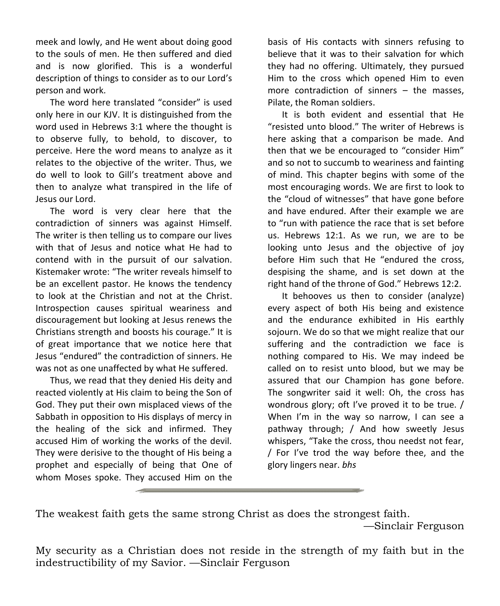meek and lowly, and He went about doing good to the souls of men. He then suffered and died and is now glorified. This is a wonderful description of things to consider as to our Lord's person and work.

The word here translated "consider" is used only here in our KJV. It is distinguished from the word used in Hebrews 3:1 where the thought is to observe fully, to behold, to discover, to perceive. Here the word means to analyze as it relates to the objective of the writer. Thus, we do well to look to Gill's treatment above and then to analyze what transpired in the life of Jesus our Lord.

The word is very clear here that the contradiction of sinners was against Himself. The writer is then telling us to compare our lives with that of Jesus and notice what He had to contend with in the pursuit of our salvation. Kistemaker wrote: "The writer reveals himself to be an excellent pastor. He knows the tendency to look at the Christian and not at the Christ. Introspection causes spiritual weariness and discouragement but looking at Jesus renews the Christians strength and boosts his courage." It is of great importance that we notice here that Jesus "endured" the contradiction of sinners. He was not as one unaffected by what He suffered.

Thus, we read that they denied His deity and reacted violently at His claim to being the Son of God. They put their own misplaced views of the Sabbath in opposition to His displays of mercy in the healing of the sick and infirmed. They accused Him of working the works of the devil. They were derisive to the thought of His being a prophet and especially of being that One of whom Moses spoke. They accused Him on the basis of His contacts with sinners refusing to believe that it was to their salvation for which they had no offering. Ultimately, they pursued Him to the cross which opened Him to even more contradiction of sinners – the masses, Pilate, the Roman soldiers.

It is both evident and essential that He "resisted unto blood." The writer of Hebrews is here asking that a comparison be made. And then that we be encouraged to "consider Him" and so not to succumb to weariness and fainting of mind. This chapter begins with some of the most encouraging words. We are first to look to the "cloud of witnesses" that have gone before and have endured. After their example we are to "run with patience the race that is set before us. Hebrews 12:1. As we run, we are to be looking unto Jesus and the objective of joy before Him such that He "endured the cross, despising the shame, and is set down at the right hand of the throne of God." Hebrews 12:2.

It behooves us then to consider (analyze) every aspect of both His being and existence and the endurance exhibited in His earthly sojourn. We do so that we might realize that our suffering and the contradiction we face is nothing compared to His. We may indeed be called on to resist unto blood, but we may be assured that our Champion has gone before. The songwriter said it well: Oh, the cross has wondrous glory; oft I've proved it to be true. / When I'm in the way so narrow, I can see a pathway through; / And how sweetly Jesus whispers, "Take the cross, thou needst not fear, / For I've trod the way before thee, and the glory lingers near. *bhs*

The weakest faith gets the same strong Christ as does the strongest faith.

—Sinclair Ferguson

My security as a Christian does not reside in the strength of my faith but in the indestructibility of my Savior. —Sinclair Ferguson